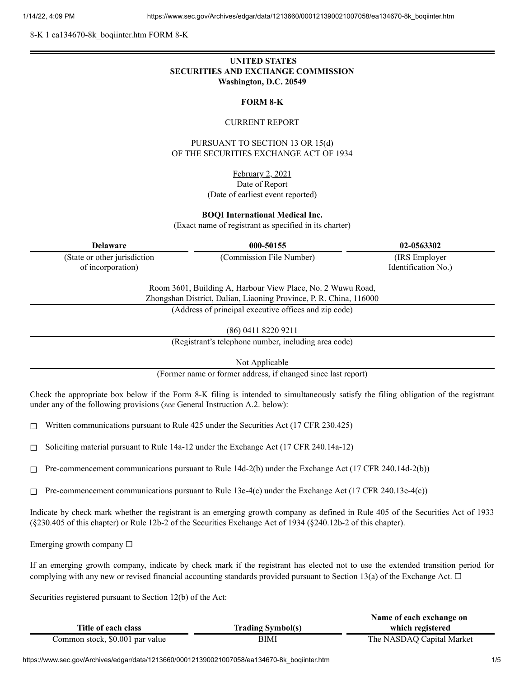8-K 1 ea134670-8k\_boqiinter.htm FORM 8-K

## **UNITED STATES SECURITIES AND EXCHANGE COMMISSION Washington, D.C. 20549**

#### **FORM 8-K**

#### CURRENT REPORT

### PURSUANT TO SECTION 13 OR 15(d) OF THE SECURITIES EXCHANGE ACT OF 1934

February 2, 2021 Date of Report (Date of earliest event reported)

#### **BOQI International Medical Inc.**

(Exact name of registrant as specified in its charter)

| <b>Delaware</b>              | 000-50155                                                                                                                         | 02-0563302          |
|------------------------------|-----------------------------------------------------------------------------------------------------------------------------------|---------------------|
| (State or other jurisdiction | (Commission File Number)                                                                                                          | (IRS Employer)      |
| of incorporation)            |                                                                                                                                   | Identification No.) |
|                              | Room 3601, Building A, Harbour View Place, No. 2 Wuwu Road,<br>Zhongshan District, Dalian, Liaoning Province, P. R. China, 116000 |                     |
|                              | (Address of principal executive offices and zip code)                                                                             |                     |
|                              | (86) 0411 8220 9211                                                                                                               |                     |
|                              | (Registrant's telephone number, including area code)                                                                              |                     |

Not Applicable

(Former name or former address, if changed since last report)

Check the appropriate box below if the Form 8-K filing is intended to simultaneously satisfy the filing obligation of the registrant under any of the following provisions (*see* General Instruction A.2. below):

☐ Written communications pursuant to Rule 425 under the Securities Act (17 CFR 230.425)

☐ Soliciting material pursuant to Rule 14a-12 under the Exchange Act (17 CFR 240.14a-12)

 $\Box$  Pre-commencement communications pursuant to Rule 14d-2(b) under the Exchange Act (17 CFR 240.14d-2(b))

 $\Box$  Pre-commencement communications pursuant to Rule 13e-4(c) under the Exchange Act (17 CFR 240.13e-4(c))

Indicate by check mark whether the registrant is an emerging growth company as defined in Rule 405 of the Securities Act of 1933 (§230.405 of this chapter) or Rule 12b-2 of the Securities Exchange Act of 1934 (§240.12b-2 of this chapter).

Emerging growth company ☐

If an emerging growth company, indicate by check mark if the registrant has elected not to use the extended transition period for complying with any new or revised financial accounting standards provided pursuant to Section 13(a) of the Exchange Act.  $\Box$ 

Securities registered pursuant to Section 12(b) of the Act:

|                                 |                          | Name of each exchange on  |
|---------------------------------|--------------------------|---------------------------|
| Title of each class             | <b>Trading Symbol(s)</b> | which registered          |
| Common stock, \$0.001 par value | BIMI                     | The NASDAQ Capital Market |

https://www.sec.gov/Archives/edgar/data/1213660/000121390021007058/ea134670-8k\_boqiinter.htm 1/5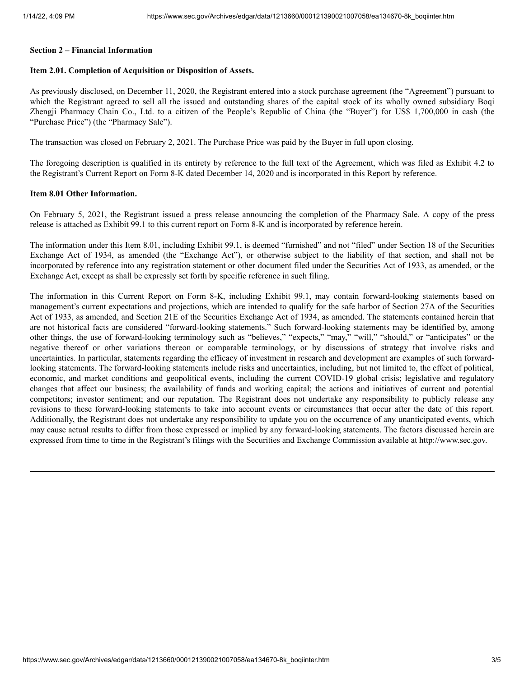#### **Section 2 – Financial Information**

#### **Item 2.01. Completion of Acquisition or Disposition of Assets.**

As previously disclosed, on December 11, 2020, the Registrant entered into a stock purchase agreement (the "Agreement") pursuant to which the Registrant agreed to sell all the issued and outstanding shares of the capital stock of its wholly owned subsidiary Boqi Zhengji Pharmacy Chain Co., Ltd. to a citizen of the People's Republic of China (the "Buyer") for US\$ 1,700,000 in cash (the "Purchase Price") (the "Pharmacy Sale").

The transaction was closed on February 2, 2021. The Purchase Price was paid by the Buyer in full upon closing.

The foregoing description is qualified in its entirety by reference to the full text of the Agreement, which was filed as Exhibit 4.2 to the Registrant's Current Report on Form 8-K dated December 14, 2020 and is incorporated in this Report by reference.

#### **Item 8.01 Other Information.**

On February 5, 2021, the Registrant issued a press release announcing the completion of the Pharmacy Sale. A copy of the press release is attached as Exhibit 99.1 to this current report on Form 8-K and is incorporated by reference herein.

The information under this Item 8.01, including Exhibit 99.1, is deemed "furnished" and not "filed" under Section 18 of the Securities Exchange Act of 1934, as amended (the "Exchange Act"), or otherwise subject to the liability of that section, and shall not be incorporated by reference into any registration statement or other document filed under the Securities Act of 1933, as amended, or the Exchange Act, except as shall be expressly set forth by specific reference in such filing.

The information in this Current Report on Form 8-K, including Exhibit 99.1, may contain forward-looking statements based on management's current expectations and projections, which are intended to qualify for the safe harbor of Section 27A of the Securities Act of 1933, as amended, and Section 21E of the Securities Exchange Act of 1934, as amended. The statements contained herein that are not historical facts are considered "forward-looking statements." Such forward-looking statements may be identified by, among other things, the use of forward-looking terminology such as "believes," "expects," "may," "will," "should," or "anticipates" or the negative thereof or other variations thereon or comparable terminology, or by discussions of strategy that involve risks and uncertainties. In particular, statements regarding the efficacy of investment in research and development are examples of such forwardlooking statements. The forward-looking statements include risks and uncertainties, including, but not limited to, the effect of political, economic, and market conditions and geopolitical events, including the current COVID-19 global crisis; legislative and regulatory changes that affect our business; the availability of funds and working capital; the actions and initiatives of current and potential competitors; investor sentiment; and our reputation. The Registrant does not undertake any responsibility to publicly release any revisions to these forward-looking statements to take into account events or circumstances that occur after the date of this report. Additionally, the Registrant does not undertake any responsibility to update you on the occurrence of any unanticipated events, which may cause actual results to differ from those expressed or implied by any forward-looking statements. The factors discussed herein are expressed from time to time in the Registrant's filings with the Securities and Exchange Commission available at http://www.sec.gov.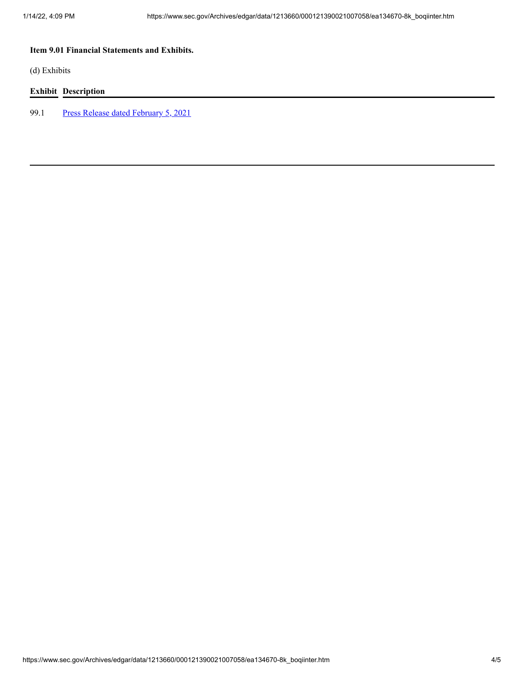# **Item 9.01 Financial Statements and Exhibits.**

(d) Exhibits

# **Exhibit Description**

99.1 Press Release dated [February](https://www.sec.gov/Archives/edgar/data/1213660/000121390021007058/ea134670ex99-1_boqiinter.htm) 5, 2021